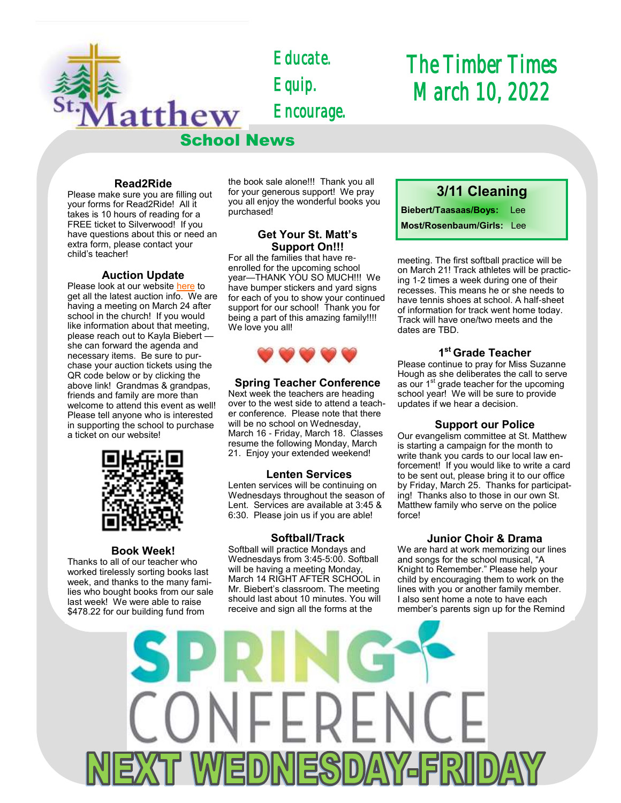

*Educate. Equip. Encourage.* 

# *The Timber Times March 10, 2022*

# **Read2Ride**

Please make sure you are filling out your forms for Read2Ride! All it takes is 10 hours of reading for a FREE ticket to Silverwood! If you have questions about this or need an extra form, please contact your child's teacher!

# **Auction Update**

Please look at our website [here](https://school.stmatthewspokane.org/auction-2022.html) to get all the latest auction info. We are having a meeting on March 24 after school in the church! If you would like information about that meeting, please reach out to Kayla Biebert she can forward the agenda and necessary items. Be sure to purchase your auction tickets using the QR code below or by clicking the above link! Grandmas & grandpas, friends and family are more than welcome to attend this event as well! Please tell anyone who is interested in supporting the school to purchase a ticket on our website!



#### **Book Week!**

Thanks to all of our teacher who worked tirelessly sorting books last week, and thanks to the many families who bought books from our sale last week! We were able to raise \$478.22 for our building fund from

the book sale alone!!! Thank you all for your generous support! We pray you all enjoy the wonderful books you purchased!

# **Get Your St. Matt's Support On!!!**

For all the families that have reenrolled for the upcoming school year—THANK YOU SO MUCH!!! We have bumper stickers and yard signs for each of you to show your continued support for our school! Thank you for being a part of this amazing family!!!! We love you all!



# **Spring Teacher Conference**

Next week the teachers are heading over to the west side to attend a teacher conference. Please note that there will be no school on Wednesday, March 16 - Friday, March 18. Classes resume the following Monday, March 21. Enjoy your extended weekend!

## **Lenten Services**

Lenten services will be continuing on Wednesdays throughout the season of Lent. Services are available at 3:45 & 6:30. Please join us if you are able!

## **Softball/Track**

Softball will practice Mondays and Wednesdays from 3:45-5:00. Softball will be having a meeting Monday, March 14 RIGHT AFTER SCHOOL in Mr. Biebert's classroom. The meeting should last about 10 minutes. You will receive and sign all the forms at the

# **3/11 Cleaning Biebert/Taasaas/Boys:** Lee

**Most/Rosenbaum/Girls:** Lee

meeting. The first softball practice will be on March 21! Track athletes will be practicing 1-2 times a week during one of their recesses. This means he or she needs to have tennis shoes at school. A half-sheet of information for track went home today. Track will have one/two meets and the dates are TBD.

# **1 st Grade Teacher**

Please continue to pray for Miss Suzanne Hough as she deliberates the call to serve as our 1<sup>st</sup> grade teacher for the upcoming school year! We will be sure to provide updates if we hear a decision.

## **Support our Police**

Our evangelism committee at St. Matthew is starting a campaign for the month to write thank you cards to our local law enforcement! If you would like to write a card to be sent out, please bring it to our office by Friday, March 25. Thanks for participating! Thanks also to those in our own St. Matthew family who serve on the police force!

## **Junior Choir & Drama**

We are hard at work memorizing our lines and songs for the school musical, "A Knight to Remember." Please help your child by encouraging them to work on the lines with you or another family member. I also sent home a note to have each member's parents sign up for the Remind

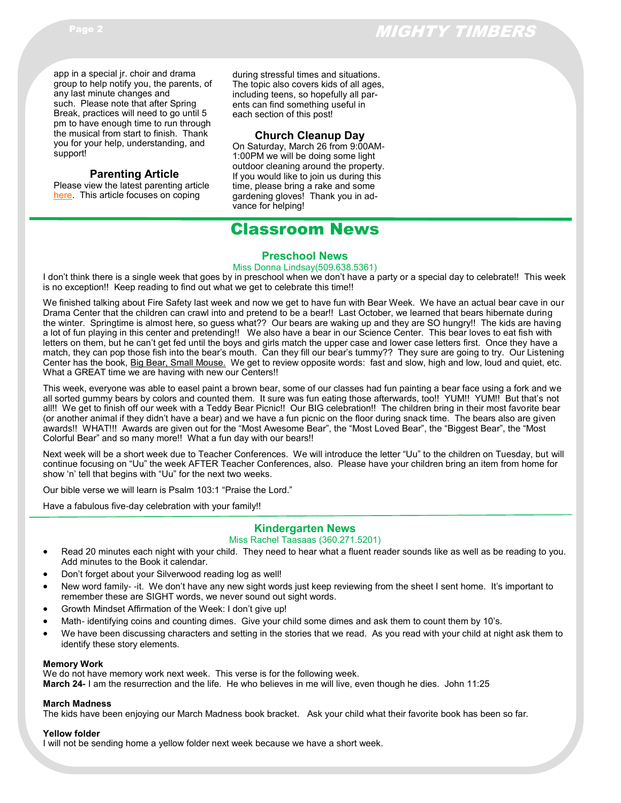app in a special jr. choir and drama group to help notify you, the parents, of any last minute changes and such. Please note that after Spring Break, practices will need to go until 5 pm to have enough time to run through the musical from start to finish. Thank you for your help, understanding, and support!

# **Parenting Article**

Please view the latest parenting article [here.](https://forwardinchrist.net/parent-conversations-day-to-day-stressors/) This article focuses on coping

during stressful times and situations. The topic also covers kids of all ages, including teens, so hopefully all parents can find something useful in each section of this post!

# **Church Cleanup Day**

On Saturday, March 26 from 9:00AM-1:00PM we will be doing some light outdoor cleaning around the property. If you would like to join us during this time, please bring a rake and some gardening gloves! Thank you in advance for helping!

# Classroom News

#### **Preschool News**

#### Miss Donna Lindsay(509.638.5361)

I don't think there is a single week that goes by in preschool when we don't have a party or a special day to celebrate!! This week is no exception!! Keep reading to find out what we get to celebrate this time!!

We finished talking about Fire Safety last week and now we get to have fun with Bear Week. We have an actual bear cave in our Drama Center that the children can crawl into and pretend to be a bear!! Last October, we learned that bears hibernate during the winter. Springtime is almost here, so guess what?? Our bears are waking up and they are SO hungry!! The kids are having a lot of fun playing in this center and pretending!! We also have a bear in our Science Center. This bear loves to eat fish with letters on them, but he can't get fed until the boys and girls match the upper case and lower case letters first. Once they have a match, they can pop those fish into the bear's mouth. Can they fill our bear's tummy?? They sure are going to try. Our Listening Center has the book, Big Bear, Small Mouse. We get to review opposite words: fast and slow, high and low, loud and quiet, etc. What a GREAT time we are having with new our Centers!!

This week, everyone was able to easel paint a brown bear, some of our classes had fun painting a bear face using a fork and we all sorted gummy bears by colors and counted them. It sure was fun eating those afterwards, too!! YUM!! YUM!! But that's not all!! We get to finish off our week with a Teddy Bear Picnic!! Our BIG celebration!! The children bring in their most favorite bear (or another animal if they didn't have a bear) and we have a fun picnic on the floor during snack time. The bears also are given awards!! WHAT!!! Awards are given out for the "Most Awesome Bear", the "Most Loved Bear", the "Biggest Bear", the "Most Colorful Bear" and so many more!! What a fun day with our bears!!

Next week will be a short week due to Teacher Conferences. We will introduce the letter "Uu" to the children on Tuesday, but will continue focusing on "Uu" the week AFTER Teacher Conferences, also. Please have your children bring an item from home for show 'n' tell that begins with "Uu" for the next two weeks.

Our bible verse we will learn is Psalm 103:1 "Praise the Lord."

Have a fabulous five-day celebration with your family!!

# **Kindergarten News**

#### Miss Rachel Taasaas (360.271.5201)

- Read 20 minutes each night with your child. They need to hear what a fluent reader sounds like as well as be reading to you. Add minutes to the Book it calendar.
- Don't forget about your Silverwood reading log as well!
- New word family- -it. We don't have any new sight words just keep reviewing from the sheet I sent home. It's important to remember these are SIGHT words, we never sound out sight words.
- Growth Mindset Affirmation of the Week: I don't give up!
- Math- identifying coins and counting dimes. Give your child some dimes and ask them to count them by 10's.
- We have been discussing characters and setting in the stories that we read. As you read with your child at night ask them to identify these story elements.

#### **Memory Work**

We do not have memory work next week. This verse is for the following week. **March 24-** I am the resurrection and the life. He who believes in me will live, even though he dies. John 11:25

#### **March Madness**

The kids have been enjoying our March Madness book bracket. Ask your child what their favorite book has been so far.

#### **Yellow folder**

I will not be sending home a yellow folder next week because we have a short week.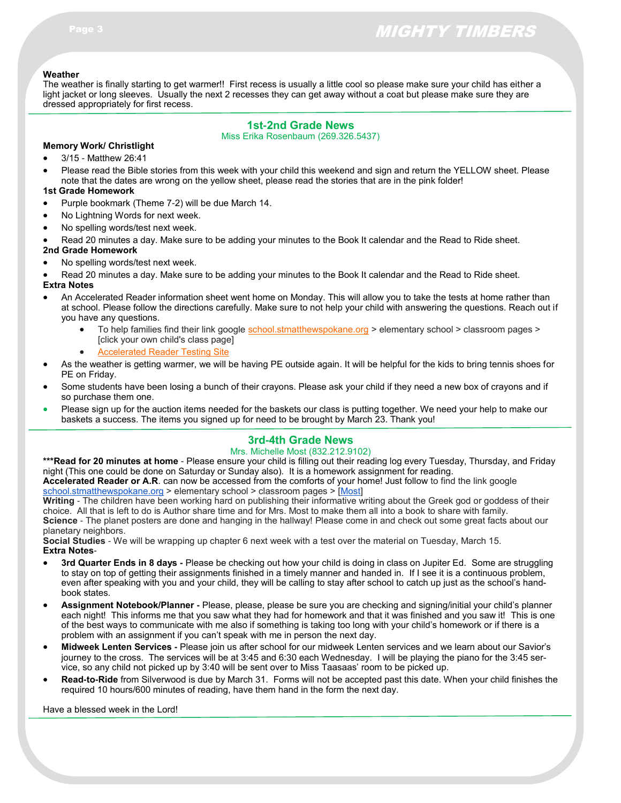#### **Weather**

The weather is finally starting to get warmer!! First recess is usually a little cool so please make sure your child has either a light jacket or long sleeves. Usually the next 2 recesses they can get away without a coat but please make sure they are dressed appropriately for first recess.

# **1st-2nd Grade News**

Miss Erika Rosenbaum (269.326.5437)

#### **Memory Work/ Christlight** 3/15 - Matthew 26:41

 Please read the Bible stories from this week with your child this weekend and sign and return the YELLOW sheet. Please note that the dates are wrong on the yellow sheet, please read the stories that are in the pink folder!

#### **1st Grade Homework**

- Purple bookmark (Theme 7-2) will be due March 14.
- No Lightning Words for next week.
- No spelling words/test next week.
- Read 20 minutes a day. Make sure to be adding your minutes to the Book It calendar and the Read to Ride sheet.

# **2nd Grade Homework**

- No spelling words/test next week.
- Read 20 minutes a day. Make sure to be adding your minutes to the Book It calendar and the Read to Ride sheet. **Extra Notes**
- An Accelerated Reader information sheet went home on Monday. This will allow you to take the tests at home rather than at school. Please follow the directions carefully. Make sure to not help your child with answering the questions. Reach out if you have any questions.
	- To help families find their link google [school.stmatthewspokane.org](http://school.stmatthewspokane.org/) > elementary school > classroom pages > [click your own child's class page]
	- [Accelerated Reader Testing Site](https://global-zone05.renaissance-go.com/welcomeportal/299566)
- As the weather is getting warmer, we will be having PE outside again. It will be helpful for the kids to bring tennis shoes for PE on Friday.
- Some students have been losing a bunch of their crayons. Please ask your child if they need a new box of crayons and if so purchase them one.
- Please sign up for the auction items needed for the baskets our class is putting together. We need your help to make our baskets a success. The items you signed up for need to be brought by March 23. Thank you!

# **3rd-4th Grade News**

#### Mrs. Michelle Most (832.212.9102)

**\*\*\*Read for 20 minutes at home** - Please ensure your child is filling out their reading log every Tuesday, Thursday, and Friday night (This one could be done on Saturday or Sunday also). It is a homework assignment for reading. **Accelerated Reader or A.R**. can now be accessed from the comforts of your home! Just follow to find the link google [school.stmatthewspokane.org](http://school.stmatthewspokane.org/) > elementary school > classroom pages > [[Most\]](https://global-zone05.renaissance-go.com/welcomeportal/299566)

**Writing** - The children have been working hard on publishing their informative writing about the Greek god or goddess of their choice. All that is left to do is Author share time and for Mrs. Most to make them all into a book to share with family. **Science** - The planet posters are done and hanging in the hallway! Please come in and check out some great facts about our planetary neighbors.

**Social Studies** - We will be wrapping up chapter 6 next week with a test over the material on Tuesday, March 15. **Extra Notes**-

- **3rd Quarter Ends in 8 days -** Please be checking out how your child is doing in class on Jupiter Ed. Some are struggling to stay on top of getting their assignments finished in a timely manner and handed in. If I see it is a continuous problem, even after speaking with you and your child, they will be calling to stay after school to catch up just as the school's handbook states.
- **Assignment Notebook/Planner -** Please, please, please be sure you are checking and signing/initial your child's planner each night! This informs me that you saw what they had for homework and that it was finished and you saw it! This is one of the best ways to communicate with me also if something is taking too long with your child's homework or if there is a problem with an assignment if you can't speak with me in person the next day.
- **Midweek Lenten Services -** Please join us after school for our midweek Lenten services and we learn about our Savior's journey to the cross. The services will be at 3:45 and 6:30 each Wednesday. I will be playing the piano for the 3:45 service, so any child not picked up by 3:40 will be sent over to Miss Taasaas' room to be picked up.
- **Read-to-Ride** from Silverwood is due by March 31. Forms will not be accepted past this date. When your child finishes the required 10 hours/600 minutes of reading, have them hand in the form the next day.

Have a blessed week in the Lord!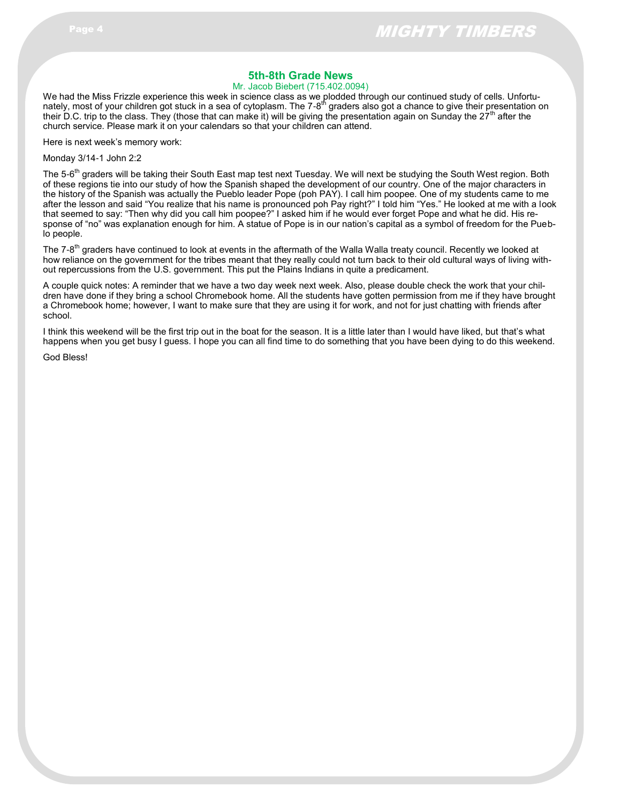# **5th-8th Grade News**

#### Mr. Jacob Biebert (715.402.0094)

We had the Miss Frizzle experience this week in science class as we plodded through our continued study of cells. Unfortunately, most of your children got stuck in a sea of cytoplasm. The 7-8<sup>th</sup> graders also got a chance to give their presentation on their D.C. trip to the class. They (those that can make it) will be giving the presentation again on Sunday the 27<sup>th</sup> after the church service. Please mark it on your calendars so that your children can attend.

Here is next week's memory work:

Monday 3/14-1 John 2:2

The 5-6<sup>th</sup> graders will be taking their South East map test next Tuesday. We will next be studying the South West region. Both of these regions tie into our study of how the Spanish shaped the development of our country. One of the major characters in the history of the Spanish was actually the Pueblo leader Pope (poh PAY). I call him poopee. One of my students came to me after the lesson and said "You realize that his name is pronounced poh Pay right?" I told him "Yes." He looked at me with a look that seemed to say: "Then why did you call him poopee?" I asked him if he would ever forget Pope and what he did. His response of "no" was explanation enough for him. A statue of Pope is in our nation's capital as a symbol of freedom for the Pueblo people.

The 7-8<sup>th</sup> graders have continued to look at events in the aftermath of the Walla Walla treaty council. Recently we looked at how reliance on the government for the tribes meant that they really could not turn back to their old cultural ways of living without repercussions from the U.S. government. This put the Plains Indians in quite a predicament.

A couple quick notes: A reminder that we have a two day week next week. Also, please double check the work that your children have done if they bring a school Chromebook home. All the students have gotten permission from me if they have brought a Chromebook home; however, I want to make sure that they are using it for work, and not for just chatting with friends after school.

I think this weekend will be the first trip out in the boat for the season. It is a little later than I would have liked, but that's what happens when you get busy I guess. I hope you can all find time to do something that you have been dying to do this weekend.

God Bless!